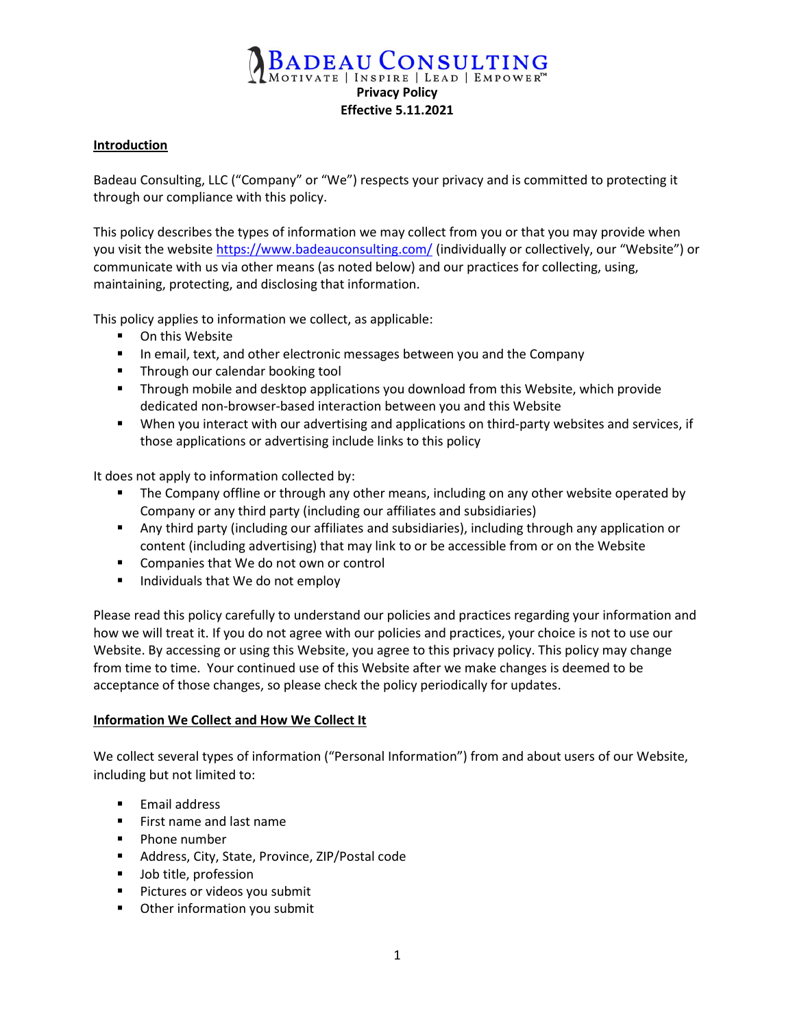# **ADEAU CONSULTING** MOTIVATE | INSPIRE | LEAD | EMPOWER<sup>T</sup> Privacy Policy Effective 5.11.2021

#### **Introduction**

Badeau Consulting, LLC ("Company" or "We") respects your privacy and is committed to protecting it through our compliance with this policy.

This policy describes the types of information we may collect from you or that you may provide when you visit the website https://www.badeauconsulting.com/ (individually or collectively, our "Website") or communicate with us via other means (as noted below) and our practices for collecting, using, maintaining, protecting, and disclosing that information.

This policy applies to information we collect, as applicable:

- **•** On this Website
- In email, text, and other electronic messages between you and the Company
- **Through our calendar booking tool**
- **Through mobile and desktop applications you download from this Website, which provide** dedicated non-browser-based interaction between you and this Website
- When you interact with our advertising and applications on third-party websites and services, if those applications or advertising include links to this policy

It does not apply to information collected by:

- **The Company offline or through any other means, including on any other website operated by** Company or any third party (including our affiliates and subsidiaries)
- Any third party (including our affiliates and subsidiaries), including through any application or content (including advertising) that may link to or be accessible from or on the Website
- **Companies that We do not own or control**
- Individuals that We do not employ

Please read this policy carefully to understand our policies and practices regarding your information and how we will treat it. If you do not agree with our policies and practices, your choice is not to use our Website. By accessing or using this Website, you agree to this privacy policy. This policy may change from time to time. Your continued use of this Website after we make changes is deemed to be acceptance of those changes, so please check the policy periodically for updates.

### Information We Collect and How We Collect It

We collect several types of information ("Personal Information") from and about users of our Website, including but not limited to:

- **Email address**
- **First name and last name**
- **Phone number**
- Address, City, State, Province, ZIP/Postal code
- Job title, profession
- **Pictures or videos you submit**
- **•** Other information you submit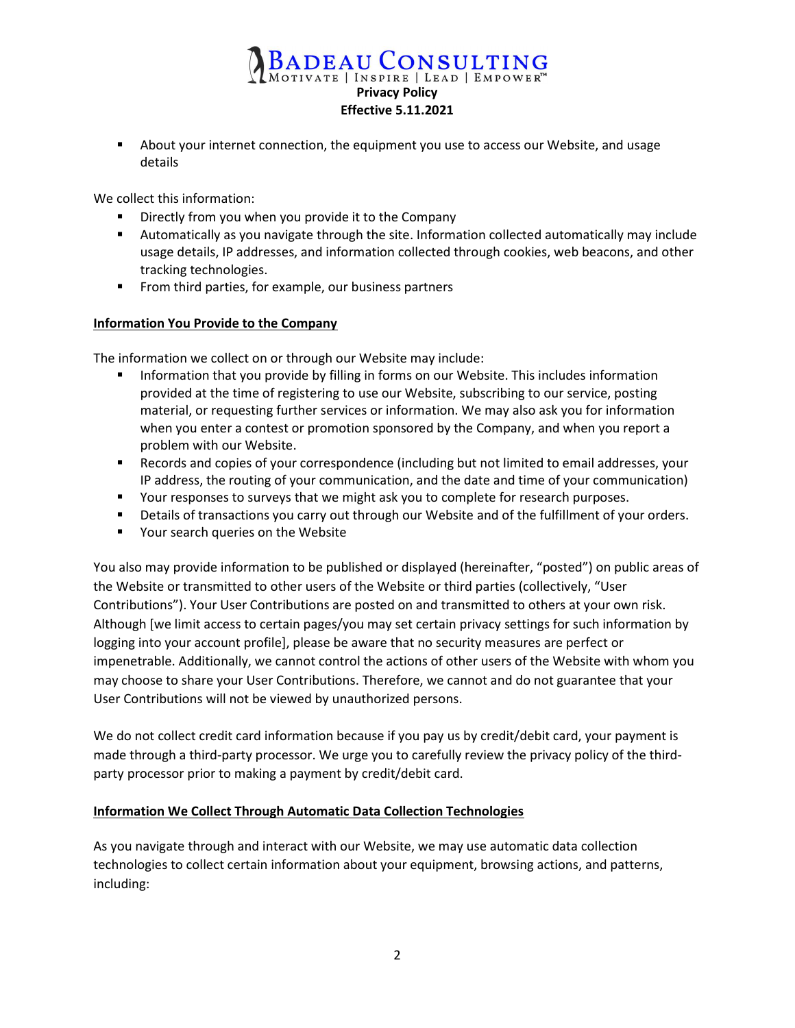# BADEAU CONSULTING Effective 5.11.2021

 About your internet connection, the equipment you use to access our Website, and usage details

We collect this information:

- Directly from you when you provide it to the Company
- Automatically as you navigate through the site. Information collected automatically may include usage details, IP addresses, and information collected through cookies, web beacons, and other tracking technologies.
- **From third parties, for example, our business partners**

### Information You Provide to the Company

The information we collect on or through our Website may include:

- Information that you provide by filling in forms on our Website. This includes information provided at the time of registering to use our Website, subscribing to our service, posting material, or requesting further services or information. We may also ask you for information when you enter a contest or promotion sponsored by the Company, and when you report a problem with our Website.
- Records and copies of your correspondence (including but not limited to email addresses, your IP address, the routing of your communication, and the date and time of your communication)
- **THE Your responses to surveys that we might ask you to complete for research purposes.**
- **Details of transactions you carry out through our Website and of the fulfillment of your orders.**
- **Theory 19 Your search queries on the Website**

You also may provide information to be published or displayed (hereinafter, "posted") on public areas of the Website or transmitted to other users of the Website or third parties (collectively, "User Contributions"). Your User Contributions are posted on and transmitted to others at your own risk. Although [we limit access to certain pages/you may set certain privacy settings for such information by logging into your account profile], please be aware that no security measures are perfect or impenetrable. Additionally, we cannot control the actions of other users of the Website with whom you may choose to share your User Contributions. Therefore, we cannot and do not guarantee that your User Contributions will not be viewed by unauthorized persons.

We do not collect credit card information because if you pay us by credit/debit card, your payment is made through a third-party processor. We urge you to carefully review the privacy policy of the thirdparty processor prior to making a payment by credit/debit card.

# Information We Collect Through Automatic Data Collection Technologies

As you navigate through and interact with our Website, we may use automatic data collection technologies to collect certain information about your equipment, browsing actions, and patterns, including: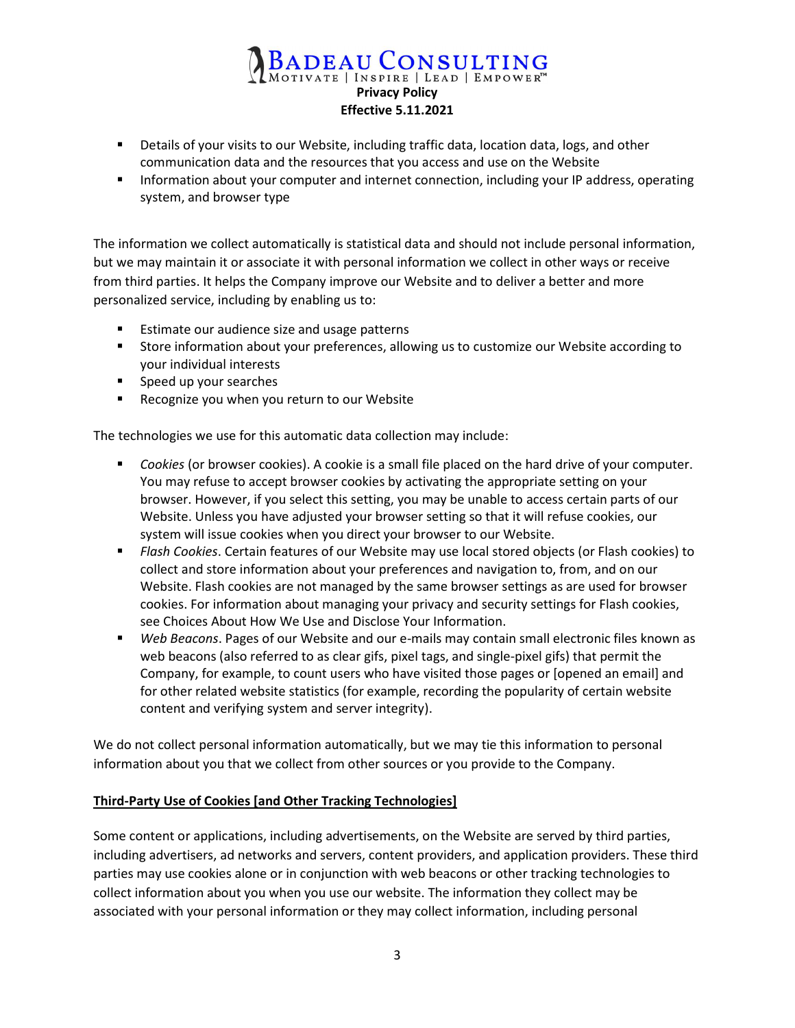# BADEAU CONSULTING Privacy Policy Effective 5.11.2021

- **Details of your visits to our Website, including traffic data, location data, logs, and other** communication data and the resources that you access and use on the Website
- **Information about your computer and internet connection, including your IP address, operating** system, and browser type

The information we collect automatically is statistical data and should not include personal information, but we may maintain it or associate it with personal information we collect in other ways or receive from third parties. It helps the Company improve our Website and to deliver a better and more personalized service, including by enabling us to:

- Estimate our audience size and usage patterns
- Store information about your preferences, allowing us to customize our Website according to your individual interests
- Speed up your searches
- **Recognize you when you return to our Website**

The technologies we use for this automatic data collection may include:

- Cookies (or browser cookies). A cookie is a small file placed on the hard drive of your computer. You may refuse to accept browser cookies by activating the appropriate setting on your browser. However, if you select this setting, you may be unable to access certain parts of our Website. Unless you have adjusted your browser setting so that it will refuse cookies, our system will issue cookies when you direct your browser to our Website.
- **Flash Cookies. Certain features of our Website may use local stored objects (or Flash cookies) to** collect and store information about your preferences and navigation to, from, and on our Website. Flash cookies are not managed by the same browser settings as are used for browser cookies. For information about managing your privacy and security settings for Flash cookies, see Choices About How We Use and Disclose Your Information.
- **Web Beacons. Pages of our Website and our e-mails may contain small electronic files known as** web beacons (also referred to as clear gifs, pixel tags, and single-pixel gifs) that permit the Company, for example, to count users who have visited those pages or [opened an email] and for other related website statistics (for example, recording the popularity of certain website content and verifying system and server integrity).

We do not collect personal information automatically, but we may tie this information to personal information about you that we collect from other sources or you provide to the Company.

# Third-Party Use of Cookies [and Other Tracking Technologies]

Some content or applications, including advertisements, on the Website are served by third parties, including advertisers, ad networks and servers, content providers, and application providers. These third parties may use cookies alone or in conjunction with web beacons or other tracking technologies to collect information about you when you use our website. The information they collect may be associated with your personal information or they may collect information, including personal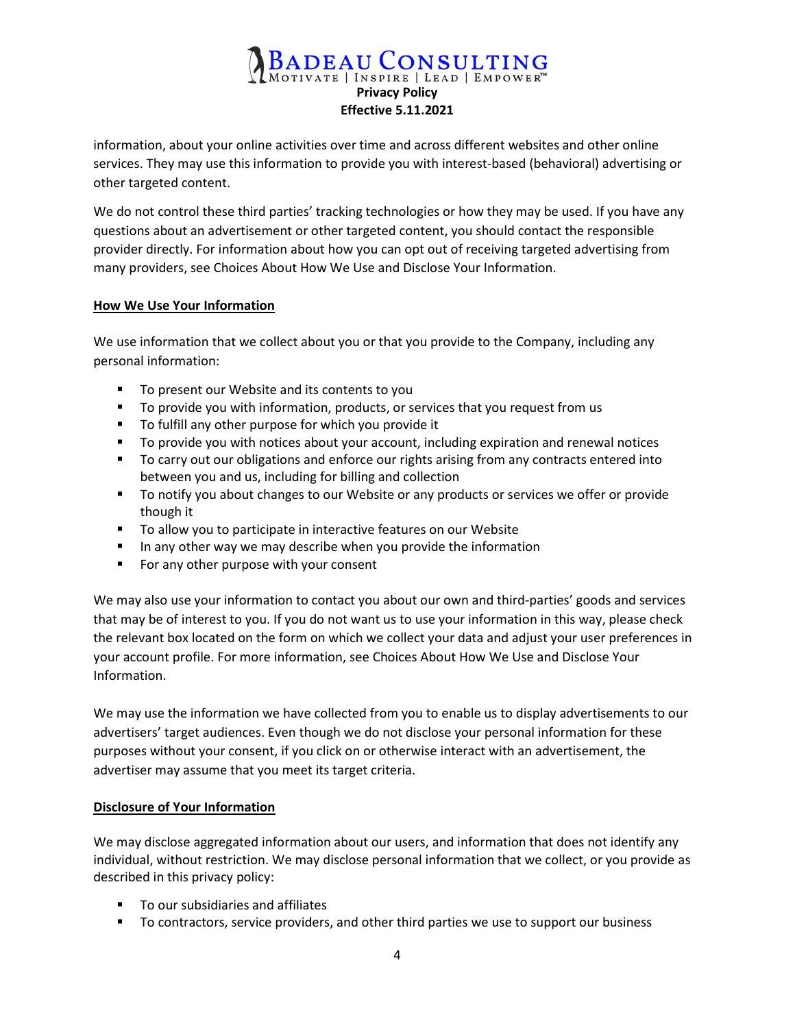# BADEAU CONSULTING<br>MOTIVATE | INSPIRE | LEAD | EMPOWER"<br>Privacy Policy Effective 5.11.2021

information, about your online activities over time and across different websites and other online services. They may use this information to provide you with interest-based (behavioral) advertising or other targeted content.

We do not control these third parties' tracking technologies or how they may be used. If you have any questions about an advertisement or other targeted content, you should contact the responsible provider directly. For information about how you can opt out of receiving targeted advertising from many providers, see Choices About How We Use and Disclose Your Information.

## How We Use Your Information

We use information that we collect about you or that you provide to the Company, including any personal information:

- To present our Website and its contents to you
- To provide you with information, products, or services that you request from us
- To fulfill any other purpose for which you provide it
- To provide you with notices about your account, including expiration and renewal notices
- **The Contract Starfs** To carry out our obligations and enforce our rights arising from any contracts entered into between you and us, including for billing and collection
- **The 10 To notify you about changes to our Website or any products or services we offer or provide** though it
- To allow you to participate in interactive features on our Website
- In any other way we may describe when you provide the information
- For any other purpose with your consent

We may also use your information to contact you about our own and third-parties' goods and services that may be of interest to you. If you do not want us to use your information in this way, please check the relevant box located on the form on which we collect your data and adjust your user preferences in your account profile. For more information, see Choices About How We Use and Disclose Your Information.

We may use the information we have collected from you to enable us to display advertisements to our advertisers' target audiences. Even though we do not disclose your personal information for these purposes without your consent, if you click on or otherwise interact with an advertisement, the advertiser may assume that you meet its target criteria.

# Disclosure of Your Information

We may disclose aggregated information about our users, and information that does not identify any individual, without restriction. We may disclose personal information that we collect, or you provide as described in this privacy policy:

- To our subsidiaries and affiliates
- To contractors, service providers, and other third parties we use to support our business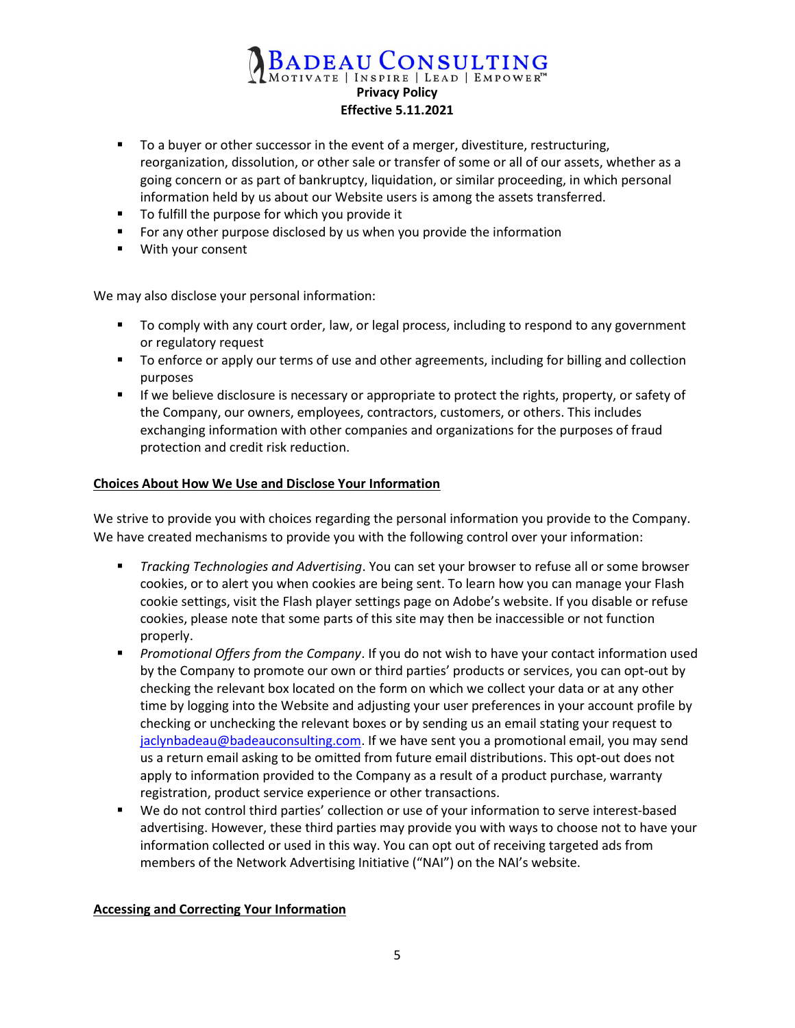# BADEAU CONSULTING Effective 5.11.2021

- To a buyer or other successor in the event of a merger, divestiture, restructuring, reorganization, dissolution, or other sale or transfer of some or all of our assets, whether as a going concern or as part of bankruptcy, liquidation, or similar proceeding, in which personal information held by us about our Website users is among the assets transferred.
- **To fulfill the purpose for which you provide it**
- For any other purpose disclosed by us when you provide the information
- With your consent

We may also disclose your personal information:

- To comply with any court order, law, or legal process, including to respond to any government or regulatory request
- **THE TO enforce or apply our terms of use and other agreements, including for billing and collection** purposes
- **If we believe disclosure is necessary or appropriate to protect the rights, property, or safety of** the Company, our owners, employees, contractors, customers, or others. This includes exchanging information with other companies and organizations for the purposes of fraud protection and credit risk reduction.

#### Choices About How We Use and Disclose Your Information

We strive to provide you with choices regarding the personal information you provide to the Company. We have created mechanisms to provide you with the following control over your information:

- **Tracking Technologies and Advertising. You can set your browser to refuse all or some browser** cookies, or to alert you when cookies are being sent. To learn how you can manage your Flash cookie settings, visit the Flash player settings page on Adobe's website. If you disable or refuse cookies, please note that some parts of this site may then be inaccessible or not function properly.
- **Promotional Offers from the Company. If you do not wish to have your contact information used** by the Company to promote our own or third parties' products or services, you can opt-out by checking the relevant box located on the form on which we collect your data or at any other time by logging into the Website and adjusting your user preferences in your account profile by checking or unchecking the relevant boxes or by sending us an email stating your request to jaclynbadeau@badeauconsulting.com. If we have sent you a promotional email, you may send us a return email asking to be omitted from future email distributions. This opt-out does not apply to information provided to the Company as a result of a product purchase, warranty registration, product service experience or other transactions.
- We do not control third parties' collection or use of your information to serve interest-based advertising. However, these third parties may provide you with ways to choose not to have your information collected or used in this way. You can opt out of receiving targeted ads from members of the Network Advertising Initiative ("NAI") on the NAI's website.

### Accessing and Correcting Your Information